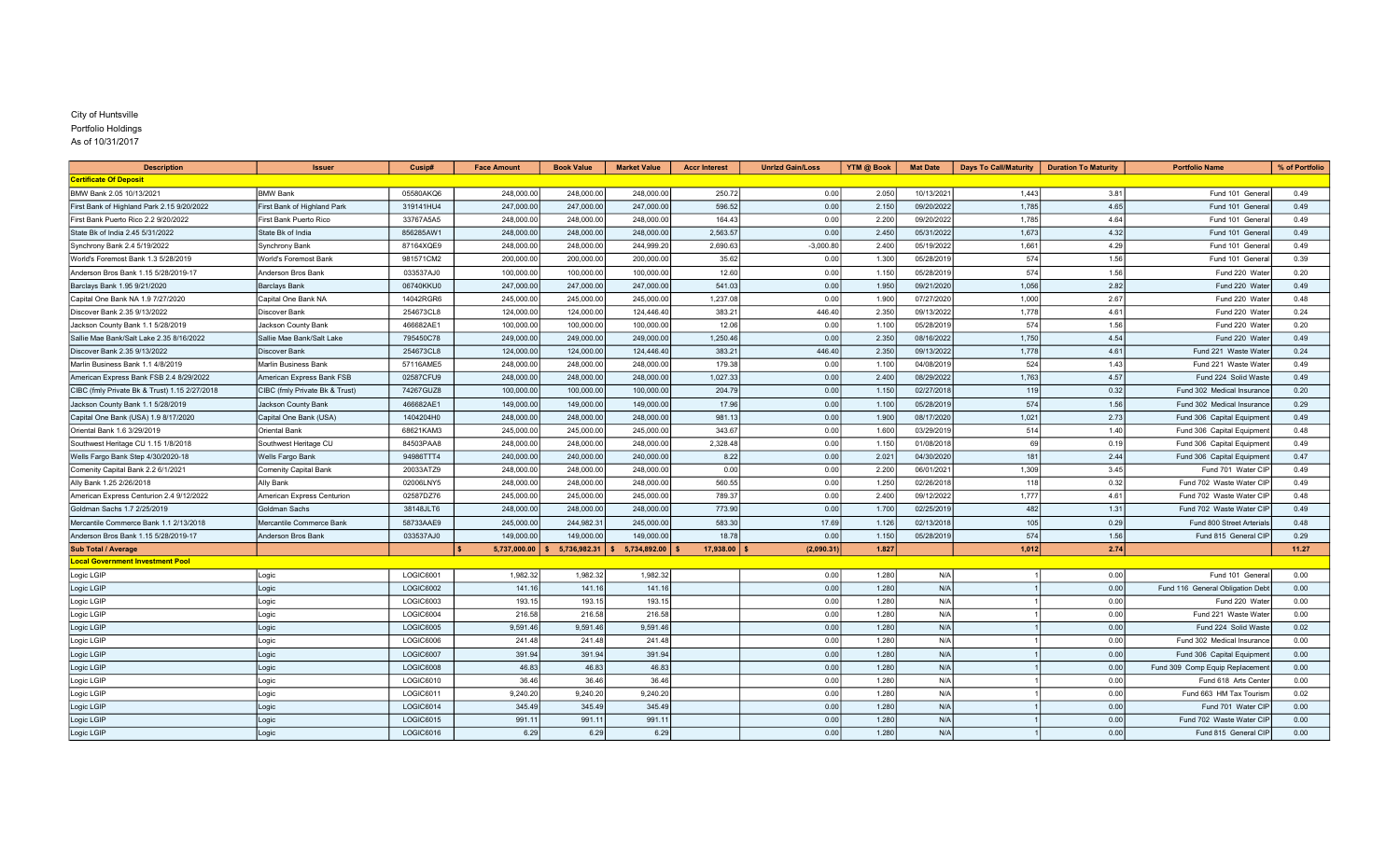## City of Huntsville Portfolio Holdings

| <b>Description</b>                            | <b>Issuer</b>                  | Cusip#    | <b>Face Amount</b> | <b>Book Value</b> | <b>Market Value</b> | <b>Accr Interest</b> | <b>Unrizd Gain/Loss</b> | YTM @ Book | <b>Mat Date</b> | Days To Call/Maturity   Duration To Maturity |      | <b>Portfolio Name</b>           | % of Portfolio |
|-----------------------------------------------|--------------------------------|-----------|--------------------|-------------------|---------------------|----------------------|-------------------------|------------|-----------------|----------------------------------------------|------|---------------------------------|----------------|
| <b>Certificate Of Deposit</b>                 |                                |           |                    |                   |                     |                      |                         |            |                 |                                              |      |                                 |                |
| BMW Bank 2.05 10/13/2021                      | <b>BMW Bank</b>                | 05580AKQ6 | 248,000.00         | 248,000.00        | 248,000.00          | 250.72               | 0.00                    | 2.050      | 10/13/2021      | 1,443                                        | 3.81 | Fund 101 Genera                 | 0.49           |
| First Bank of Highland Park 2.15 9/20/2022    | First Bank of Highland Park    | 319141HU4 | 247,000.00         | 247,000.00        | 247,000.00          | 596.52               | 0.00                    | 2.150      | 09/20/2022      | 1,785                                        | 4.65 | Fund 101 Genera                 | 0.49           |
| First Bank Puerto Rico 2.2 9/20/2022          | First Bank Puerto Rico         | 33767A5A5 | 248,000.00         | 248,000.00        | 248,000.00          | 164.43               | 0.00                    | 2.200      | 09/20/2022      | 1,785                                        | 4.64 | Fund 101 Genera                 | 0.49           |
| State Bk of India 2.45 5/31/2022              | State Bk of India              | 856285AW1 | 248,000.00         | 248,000.00        | 248,000.00          | 2,563.57             | 0.00                    | 2.450      | 05/31/2022      | 1,673                                        | 4.32 | Fund 101 Genera                 | 0.49           |
| Synchrony Bank 2.4 5/19/2022                  | Synchrony Bank                 | 87164XQE9 | 248,000.00         | 248,000.00        | 244,999.20          | 2,690.63             | $-3,000.80$             | 2.400      | 05/19/2022      | 1,661                                        | 4.29 | Fund 101 Genera                 | 0.49           |
| World's Foremost Bank 1.3 5/28/2019           | World's Foremost Bank          | 981571CM2 | 200,000.00         | 200,000.00        | 200,000.0           | 35.62                | 0.00                    | 1.300      | 05/28/2019      | 574                                          | 1.56 | Fund 101 Genera                 | 0.39           |
| Anderson Bros Bank 1.15 5/28/2019-17          | Anderson Bros Bank             | 033537AJ0 | 100,000.00         | 100,000.00        | 100,000.00          | 12.60                | 0.00                    | 1.150      | 05/28/2019      | 574                                          | 1.56 | Fund 220 Wate                   | 0.20           |
| Barclays Bank 1.95 9/21/2020                  | <b>Barclays Bank</b>           | 06740KKU0 | 247,000.00         | 247.000.00        | 247,000.00          | 541.03               | 0.00                    | 1.950      | 09/21/2020      | 1,056                                        | 2.82 | Fund 220 Wate                   | 0.49           |
| Capital One Bank NA 1.9 7/27/2020             | Capital One Bank NA            | 14042RGR6 | 245,000.00         | 245,000.00        | 245,000.00          | 1,237.08             | 0.00                    | 1.900      | 07/27/2020      | 1,000                                        | 2.67 | Fund 220 Wate                   | 0.48           |
| Discover Bank 2.35 9/13/2022                  | Discover Bank                  | 254673CL8 | 124,000.00         | 124,000.00        | 124,446.40          | 383.21               | 446.40                  | 2.350      | 09/13/2022      | 1,778                                        | 4.61 | Fund 220 Wate                   | 0.24           |
| Jackson County Bank 1.1 5/28/2019             | Jackson County Bank            | 466682AE1 | 100,000.00         | 100,000.00        | 100,000.00          | 12.06                | 0.00                    | 1.100      | 05/28/201       | 574                                          | 1.56 | Fund 220 Wate                   | 0.20           |
| Sallie Mae Bank/Salt Lake 2.35 8/16/2022      | Sallie Mae Bank/Salt Lake      | 795450C78 | 249,000.00         | 249,000.00        | 249,000.00          | 1,250.46             | 0.00                    | 2.350      | 08/16/2022      | 1,750                                        | 4.54 | Fund 220 Wate                   | 0.49           |
| Discover Bank 2.35 9/13/2022                  | <b>Discover Bank</b>           | 254673CL8 | 124,000.00         | 124,000.00        | 124,446.40          | 383.21               | 446.40                  | 2.350      | 09/13/202       | 1,778                                        | 4.61 | Fund 221 Waste Wate             | 0.24           |
| Marlin Business Bank 1.1 4/8/2019             | <b>Marlin Business Bank</b>    | 57116AME5 | 248,000.00         | 248,000.00        | 248,000.00          | 179.38               | 0.00                    | 1.100      | 04/08/2019      | 524                                          | 1.43 | Fund 221 Waste Wate             | 0.49           |
| American Express Bank FSB 2.4 8/29/2022       | American Express Bank FSB      | 02587CFU9 | 248,000.00         | 248,000.00        | 248,000.00          | 1,027.33             | 0.00                    | 2.400      | 08/29/2022      | 1,763                                        | 4.57 | Fund 224 Solid Waste            | 0.49           |
| CIBC (fmly Private Bk & Trust) 1.15 2/27/2018 | CIBC (fmly Private Bk & Trust) | 74267GUZ8 | 100,000.00         | 100,000.00        | 100,000.00          | 204.79               | 0.00                    | 1.150      | 02/27/2018      | 119                                          | 0.32 | Fund 302 Medical Insurance      | 0.20           |
| Jackson County Bank 1.1 5/28/2019             | Jackson County Bank            | 466682AE1 | 149,000.00         | 149,000.00        | 149,000.00          | 17.96                | 0.00                    | 1.100      | 05/28/2019      | 574                                          | 1.56 | Fund 302 Medical Insurance      | 0.29           |
| Capital One Bank (USA) 1.9 8/17/2020          | Capital One Bank (USA)         | 1404204H0 | 248,000.00         | 248,000.00        | 248,000.00          | 981.13               | 0.00                    | 1.900      | 08/17/2020      | 1,021                                        | 2.73 | Fund 306 Capital Equipmen       | 0.49           |
| Oriental Bank 1.6 3/29/2019                   | Oriental Bank                  | 68621KAM3 | 245,000.00         | 245,000.00        | 245,000.00          | 343.67               | 0.00                    | 1.600      | 03/29/2019      | 514                                          | 1.40 | Fund 306 Capital Equipmen       | 0.48           |
| Southwest Heritage CU 1.15 1/8/2018           | Southwest Heritage CU          | 84503PAA8 | 248,000.00         | 248,000.00        | 248,000.00          | 2.328.48             | 0.00                    | 1.150      | 01/08/2018      | 69                                           | 0.19 | Fund 306 Capital Equipmen       | 0.49           |
| Wells Fargo Bank Step 4/30/2020-18            | Wells Fargo Bank               | 94986TTT4 | 240,000.00         | 240,000.00        | 240,000.00          | 8.22                 | 0.00                    | 2.021      | 04/30/2020      | 181                                          | 2.44 | Fund 306 Capital Equipmen       | 0.47           |
| Comenity Capital Bank 2.2 6/1/2021            | Comenity Capital Bank          | 20033ATZ9 | 248,000.00         | 248.000.00        | 248,000.00          | 0.00                 | 0.00                    | 2.200      | 06/01/202       | 1,309                                        | 3.45 | Fund 701 Water CIF              | 0.49           |
| Ally Bank 1.25 2/26/2018                      | Ally Bank                      | 02006LNY5 | 248,000.00         | 248,000.00        | 248,000.0           | 560.55               | 0.00                    | 1.250      | 02/26/201       | 118                                          | 0.32 | Fund 702 Waste Water CII        | 0.49           |
| American Express Centurion 2.4 9/12/2022      | American Express Centurion     | 02587DZ76 | 245,000.00         | 245,000.00        | 245,000.00          | 789.37               | 0.00                    | 2.400      | 09/12/2022      | 1,777                                        | 4.61 | Fund 702 Waste Water CIF        | 0.48           |
| Goldman Sachs 1.7 2/25/2019                   | Goldman Sachs                  | 38148JLT6 | 248,000.00         | 248,000.00        | 248,000.00          | 773.90               | 0.00                    | 1.700      | 02/25/2019      | 482                                          | 1.31 | Fund 702 Waste Water CIF        | 0.49           |
| Mercantile Commerce Bank 1.1 2/13/2018        | Mercantile Commerce Bank       | 58733AAE9 | 245,000.00         | 244,982.31        | 245,000.00          | 583.30               | 17.69                   | 1.126      | 02/13/2018      | 105                                          | 0.29 | Fund 800 Street Arterial        | 0.48           |
| Anderson Bros Bank 1.15 5/28/2019-17          | Anderson Bros Bank             | 033537AJ0 | 149,000.00         | 149,000.00        | 149,000.00          | 18.78                | 0.00                    | 1.150      | 05/28/2019      | 574                                          | 1.56 | Fund 815 General CIF            | 0.29           |
| <b>Sub Total / Average</b>                    |                                |           | 5,737,000.00       | 5,736,982.31      | 5,734,892.00        | 17,938.00            | (2,090.31)              | 1.827      |                 | 1,012                                        | 2.74 |                                 | 11.27          |
| <b>Local Government Investment Pool</b>       |                                |           |                    |                   |                     |                      |                         |            |                 |                                              |      |                                 |                |
| Logic LGIP                                    | Logic                          | LOGIC6001 | 1,982.32           | 1,982.32          | 1,982.32            |                      | 0.00                    | 1.280      | N/A             |                                              | 0.00 | Fund 101 Genera                 | 0.00           |
| Logic LGIP                                    | Logic                          | LOGIC6002 | 141.16             | 141.16            | 141.16              |                      | 0.00                    | 1.280      | N/A             |                                              | 0.00 | Fund 116 General Obligation Deb | 0.00           |
| Logic LGIP                                    | Logic                          | LOGIC6003 | 193.15             | 193.15            | 193.15              |                      | 0.00                    | 1.280      | N/A             |                                              | 0.00 | Fund 220 Wate                   | 0.00           |
| Logic LGIP                                    | Logic                          | LOGIC6004 | 216.58             | 216.58            | 216.58              |                      | 0.00                    | 1.280      | N/A             |                                              | 0.00 | Fund 221 Waste Wate             | 0.00           |
| Logic LGIP                                    | Logic                          | LOGIC6005 | 9,591.46           | 9,591.46          | 9,591.46            |                      | 0.00                    | 1.280      | N/A             |                                              | 0.00 | Fund 224 Solid Waste            | 0.02           |
| Logic LGIP                                    | Logic                          | LOGIC6006 | 241.48             | 241.48            | 241.48              |                      | 0.00                    | 1.280      | N/A             |                                              | 0.00 | Fund 302 Medical Insuranc       | 0.00           |
| Logic LGIP                                    | Logic                          | LOGIC6007 | 391.94             | 391.94            | 391.94              |                      | 0.00                    | 1.280      | N/A             |                                              | 0.00 | Fund 306 Capital Equipmen       | 0.00           |
| Logic LGIP                                    | Logic                          | LOGIC6008 | 46.83              | 46.83             | 46.83               |                      | 0.00                    | 1.280      | N/A             |                                              | 0.00 | Fund 309 Comp Equip Replacemen  | 0.00           |
| Logic LGIP                                    | Logic                          | LOGIC6010 | 36.46              | 36.46             | 36.46               |                      | 0.00                    | 1.280      | N/A             |                                              | 0.00 | Fund 618 Arts Cente             | 0.00           |
| Logic LGIP                                    | Logic                          | LOGIC6011 | 9,240.20           | 9,240.20          | 9,240.20            |                      | 0.00                    | 1.280      | N/A             |                                              | 0.00 | Fund 663 HM Tax Tourisr         | 0.02           |
| Logic LGIP                                    | Logic                          | LOGIC6014 | 345.49             | 345.49            | 345.49              |                      | 0.00                    | 1.280      | N/A             |                                              | 0.00 | Fund 701 Water CII              | 0.00           |
| Logic LGIP                                    | Logic                          | LOGIC6015 | 991.11             | 991.11            | 991.11              |                      | 0.00                    | 1.280      | N/A             |                                              | 0.00 | Fund 702 Waste Water CIF        | 0.00           |
| Logic LGIP                                    | Logic                          | LOGIC6016 | 6.29               | 6.29              | 6.29                |                      | 0.00                    | 1.280      | N/A             |                                              | 0.00 | Fund 815 General CIP            | 0.00           |

As of 10/31/2017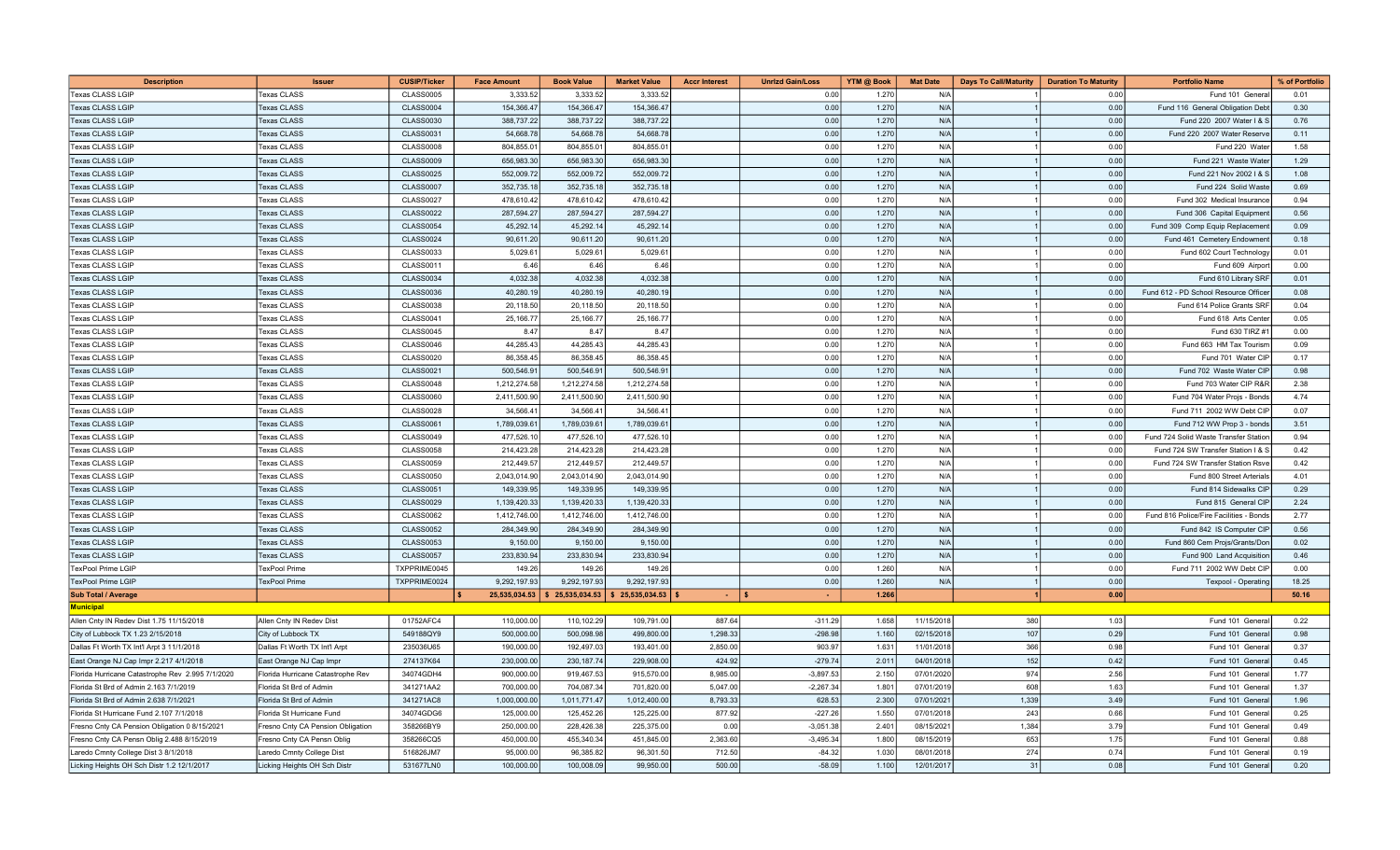| <b>Description</b>                               | <b>Issuer</b>                     | <b>CUSIP/Ticker</b> | <b>Face Amount</b> | <b>Book Value</b> | <b>Market Value</b> | <b>Accr Interest</b> | <b>Unrizd Gain/Loss</b> | YTM @ Book | <b>Mat Date</b> | <b>Days To Call/Maturity</b> | <b>Duration To Maturity</b> | <b>Portfolio Name</b>                   | % of Portfolio |
|--------------------------------------------------|-----------------------------------|---------------------|--------------------|-------------------|---------------------|----------------------|-------------------------|------------|-----------------|------------------------------|-----------------------------|-----------------------------------------|----------------|
| <b>Texas CLASS LGIP</b>                          | <b>Texas CLASS</b>                | <b>CLASS0005</b>    | 3,333.5            | 3,333.52          | 3,333.5             |                      | 0.00                    | 1.270      | N/A             |                              | 0.00                        | Fund 101 Genera                         | 0.01           |
| <b>Texas CLASS LGIF</b>                          | <b>Texas CLASS</b>                | <b>CLASS0004</b>    | 154,366.47         | 154,366.47        | 154,366.4           |                      | 0.00                    | 1.270      | N/A             |                              | 0.00                        | Fund 116 General Obligation Deb         | 0.30           |
| Texas CLASS LGIP                                 | <b>Texas CLASS</b>                | <b>CLASS0030</b>    | 388,737.22         | 388,737.22        | 388,737.2           |                      | 0.00                    | 1.270      | N/A             |                              | 0.00                        | Fund 220 2007 Water I &                 | 0.76           |
| <b>Texas CLASS LGIP</b>                          | <b>Texas CLASS</b>                | <b>CLASS0031</b>    | 54,668.78          | 54,668.78         | 54,668.7            |                      | 0.00                    | 1.270      | N/A             |                              | 0.00                        | Fund 220 2007 Water Reserv              | 0.11           |
| Texas CLASS LGIP                                 | <b>Texas CLASS</b>                | <b>CLASS0008</b>    | 804,855.01         | 804,855.01        | 804,855.0           |                      | 0.00                    | 1.270      | N/A             |                              | 0.00                        | Fund 220 Wate                           | 1.58           |
| Texas CLASS LGIP                                 | <b>Texas CLASS</b>                | <b>CLASS0009</b>    | 656,983.30         | 656,983.30        | 656,983.30          |                      | 0.00                    | 1.270      | N/A             |                              | 0.00                        | Fund 221 Waste Wate                     | 1.29           |
| <b>Texas CLASS LGIP</b>                          | <b>Texas CLASS</b>                | <b>CLASS0025</b>    | 552,009.72         | 552,009.72        | 552.009.7           |                      | 0.00                    | 1.270      | N/A             |                              | 0.00                        | Fund 221 Nov 2002   & \$                | 1.08           |
| <b>Texas CLASS LGIF</b>                          | <b>Texas CLASS</b>                | <b>CLASS0007</b>    | 352,735.18         | 352,735.18        | 352,735.1           |                      | 0.00                    | 1.270      | N/A             |                              | 0.00                        | Fund 224 Solid Wast                     | 0.69           |
| Texas CLASS LGIP                                 | Texas CLASS                       | <b>CLASS0027</b>    | 478,610.42         | 478,610.42        | 478,610.4           |                      | 0.00                    | 1.270      | N/A             |                              | 0.00                        | Fund 302 Medical Insuranc               | 0.94           |
| <b>Texas CLASS LGIP</b>                          | <b>Texas CLASS</b>                | <b>CLASS0022</b>    | 287,594.27         | 287,594.27        | 287,594.2           |                      | 0.00                    | 1.270      | N/A             |                              | 0.00                        | Fund 306 Capital Equipmen               | 0.56           |
| <b>Texas CLASS LGIF</b>                          | <b>Texas CLASS</b>                | <b>CLASS0054</b>    | 45,292.14          | 45,292.14         | 45,292.14           |                      | 0.00                    | 1.270      | N/A             |                              | 0.00                        | Fund 309 Comp Equip Replacemen          | 0.09           |
| Texas CLASS LGIP                                 | <b>Texas CLASS</b>                | <b>CLASS0024</b>    | 90,611.20          | 90,611.20         | 90,611.20           |                      | 0.00                    | 1.270      | N/A             |                              | 0.00                        | Fund 461 Cemetery Endowmen              | 0.18           |
| Texas CLASS LGIP                                 | <b>Texas CLASS</b>                | <b>CLASS0033</b>    | 5,029.6            | 5,029.61          | 5,029.61            |                      | 0.00                    | 1,270      | N/A             |                              | 0.00                        | Fund 602 Court Technology               | 0.01           |
| <b>Texas CLASS LGIF</b>                          | Texas CLASS                       | CLASS0011           | 6.46               | 6.46              | 6.46                |                      | 0.00                    | 1.270      | N/A             |                              | 0.00                        | Fund 609 Airpor                         | 0.00           |
| Texas CLASS LGIP                                 | Texas CLASS                       | <b>CLASS0034</b>    | 4,032.38           | 4,032.38          | 4,032.3             |                      | 0.00                    | 1.270      | N/A             |                              | 0.00                        | Fund 610 Library SRF                    | 0.01           |
| <b>Texas CLASS LGIF</b>                          | <b>Texas CLASS</b>                | <b>CLASS0036</b>    | 40,280.19          | 40,280.19         | 40,280.1            |                      | 0.00                    | 1.270      | N/A             |                              | 0.00                        | Fund 612 - PD School Resource Office    | 0.08           |
| Texas CLASS LGIP                                 | Texas CLASS                       | <b>CLASS0038</b>    | 20,118.50          | 20,118.50         | 20,118.5            |                      | 0.00                    | 1.270      | N/A             |                              | 0.00                        | Fund 614 Police Grants SRF              | 0.04           |
| Texas CLASS LGIP                                 | <b>Texas CLASS</b>                | <b>CLASS0041</b>    | 25,166.77          | 25, 166.77        | 25,166.7            |                      | 0.00                    | 1.270      | N/A             |                              | 0.00                        | Fund 618 Arts Cente                     | 0.05           |
| <b>Texas CLASS LGIF</b>                          | <b>Texas CLASS</b>                | <b>CLASS0045</b>    | 8.47               | 8.47              | 8.47                |                      | 0.00                    | 1.270      | N/A             |                              | 0.00                        | Fund 630 TIRZ #                         | 0.00           |
| Texas CLASS LGIF                                 | <b>Texas CLASS</b>                | CLASS0046           | 44,285.43          | 44,285.4          | 44,285.4            |                      | 0.00                    | 1.270      | N/A             |                              | 0.00                        | Fund 663 HM Tax Tourisr                 | 0.09           |
| Texas CLASS LGIP                                 | Texas CLASS                       | <b>CLASS0020</b>    | 86,358.45          | 86,358.45         | 86,358.4            |                      | 0.00                    | 1.270      | N/A             |                              | 0.00                        | Fund 701 Water CIF                      | 0.17           |
| <b>Texas CLASS LGIP</b>                          | <b>Texas CLASS</b>                | <b>CLASS0021</b>    | 500,546.9          | 500,546.91        | 500,546.9           |                      | 0.00                    | 1.270      | N/A             |                              | 0.00                        | Fund 702 Waste Water CIF                | 0.98           |
| Texas CLASS LGIP                                 | <b>Texas CLASS</b>                | CLASS0048           | 1,212,274.58       | 1,212,274.58      | 1,212,274.58        |                      | 0.00                    | 1.270      | N/A             |                              | 0.00                        | Fund 703 Water CIP R&R                  | 2.38           |
| Texas CLASS LGIP                                 | <b>Texas CLASS</b>                | <b>CLASS0060</b>    | 2,411,500.90       | 2,411,500.90      | 2,411,500.90        |                      | 0.00                    | 1.270      | N/A             |                              | 0.00                        | Fund 704 Water Projs - Bonds            | 4.74           |
| Texas CLASS LGIF                                 | <b>Texas CLASS</b>                | <b>CLASS0028</b>    | 34,566.4           | 34,566.4          | 34,566.4            |                      | 0.00                    | 1.270      | N/A             |                              | 0.00                        | Fund 711 2002 WW Debt CII               | 0.07           |
| Texas CLASS LGIF                                 | <b>Texas CLASS</b>                | <b>CLASS0061</b>    | 1,789,039.6        | 1,789,039.6       | 1,789,039.6         |                      | 0.00                    | 1.270      | N/A             |                              | 0.00                        | Fund 712 WW Prop 3 - bond               | 3.51           |
| <b>Texas CLASS LGIP</b>                          | <b>Texas CLASS</b>                | <b>CLASS0049</b>    | 477,526.1          | 477,526.1         | 477,526.1           |                      | 0.00                    | 1.270      | N/A             |                              | 0.00                        | Fund 724 Solid Waste Transfer Station   | 0.94           |
| Texas CLASS LGIP                                 | Texas CLASS                       | <b>CLASS0058</b>    | 214,423.28         | 214,423.28        | 214,423.28          |                      | 0.00                    | 1.270      | N/A             |                              | 0.00                        | Fund 724 SW Transfer Station I & S      | 0.42           |
| <b>Texas CLASS LGIP</b>                          | <b>Texas CLASS</b>                | <b>CLASS0059</b>    | 212,449.57         | 212,449.57        | 212,449.57          |                      | 0.00                    | 1.270      | N/A             |                              | 0.00                        | Fund 724 SW Transfer Station Rsve       | 0.42           |
| Texas CLASS LGIP                                 | <b>Texas CLASS</b>                | <b>CLASS0050</b>    | 2,043,014.90       | 2,043,014.90      | 2,043,014.90        |                      | 0.00                    | 1.270      | N/A             |                              | 0.00                        | Fund 800 Street Arterial                | 4.01           |
| <b>Texas CLASS LGIF</b>                          | <b>Texas CLASS</b>                | <b>CLASS0051</b>    | 149,339.95         | 149,339.9         | 149,339.9           |                      | 0.00                    | 1.270      | N/A             |                              | 0.00                        | Fund 814 Sidewalks CII                  | 0.29           |
| Texas CLASS LGIP                                 | <b>Texas CLASS</b>                | <b>CLASS0029</b>    | 1,139,420.33       | 1,139,420.3       | 1,139,420.3         |                      | 0.00                    | 1.270      | N/A             |                              | 0.00                        | Fund 815 General CII                    | 2.24           |
| Texas CLASS LGIP                                 | <b>Texas CLASS</b>                | <b>CLASS0062</b>    | 1,412,746.00       | 1,412,746.00      | 1,412,746.00        |                      | 0.00                    | 1.270      | N/A             |                              | 0.00                        | Fund 816 Police/Fire Facilities - Bonds | 2.77           |
| <b>Texas CLASS LGIP</b>                          | <b>Texas CLASS</b>                | <b>CLASS0052</b>    | 284,349.90         | 284,349.90        | 284,349.90          |                      | 0.00                    | 1.270      | N/A             |                              | 0.00                        | Fund 842 IS Computer CIF                | 0.56           |
| Texas CLASS LGIP                                 | <b>Texas CLASS</b>                | <b>CLASS0053</b>    | 9,150.00           | 9,150.00          | 9,150.00            |                      | 0.00                    | 1.270      | N/A             |                              | 0.00                        | Fund 860 Cem Projs/Grants/Dor           | 0.02           |
| <b>Texas CLASS LGIF</b>                          | <b>Texas CLASS</b>                | <b>CLASS0057</b>    | 233,830.94         | 233,830.9         | 233,830.9           |                      | 0.00                    | 1.270      | N/A             |                              | 0.00                        | Fund 900 Land Acquisition               | 0.46           |
| <b>TexPool Prime LGIF</b>                        | <b>FexPool Prime</b>              | TXPPRIME0045        | 149.2              | 149.2             | 149.2               |                      | 0.00                    | 1.260      | N/A             |                              | 0.00                        | Fund 711 2002 WW Debt CI                | 0.00           |
| TexPool Prime LGIF                               | TexPool Prime                     | TXPPRIME0024        | 9,292,197.93       | 9,292,197.93      | 9,292,197.9         |                      | 0.00                    | 1.260      | N/A             |                              | 0.00                        | Texpool - Operating                     | 18.25          |
| <b>Sub Total / Average</b>                       |                                   |                     | 25,535,034.53      | \$25,535,034.53   | \$25,535,034.53     | $\sim$               | ١s<br>÷.                | 1.266      |                 |                              | 0.00                        |                                         | 50.16          |
| <b>Municipal</b>                                 |                                   |                     |                    |                   |                     |                      |                         |            |                 |                              |                             |                                         |                |
| Allen Cnty IN Redev Dist 1.75 11/15/2018         | Allen Cnty IN Redev Dist          | 01752AFC4           | 110,000.00         | 110,102.29        | 109,791.00          | 887.64               | $-311.29$               | 1.658      | 11/15/2018      | 380                          | 1.03                        | Fund 101 Genera                         | 0.22           |
| City of Lubbock TX 1.23 2/15/2018                | City of Lubbock TX                | 549188QY9           | 500,000.00         | 500,098.98        | 499,800.00          | 1,298.33             | $-298.98$               | 1.160      | 02/15/2018      | 107                          | 0.29                        | Fund 101 Genera                         | 0.98           |
| Dallas Ft Worth TX Int'l Arpt 3 11/1/2018        | Dallas Ft Worth TX Int'l Arpt     | 235036U65           | 190,000.0          | 192,497.0         | 193,401.0           | 2,850.00             | 903.9                   | 1.631      | 11/01/201       | 366                          | 0.98                        | Fund 101 Gener                          | 0.37           |
| East Orange NJ Cap Impr 2.217 4/1/2018           | East Orange NJ Cap Impr           | 274137K64           | 230,000.00         | 230, 187.74       | 229,908.00          | 424.92               | $-279.74$               | 2.011      | 04/01/2018      | 152                          | 0.42                        | Fund 101 Genera                         | 0.45           |
| Florida Hurricane Catastrophe Rev 2.995 7/1/2020 | Florida Hurricane Catastrophe Rev | 34074GDH4           | 900,000.00         | 919,467.53        | 915,570.00          | 8,985.00             | $-3,897.53$             | 2.150      | 07/01/2020      | 974                          | 2.56                        | Fund 101 Genera                         | 1.77           |
| Florida St Brd of Admin 2.163 7/1/2019           | Florida St Brd of Admin           | 341271AA2           | 700,000.00         | 704,087.34        | 701,820.00          | 5,047.00             | $-2,267.34$             | 1.801      | 07/01/2019      | 608                          | 1.63                        | Fund 101 Genera                         | 1.37           |
| Florida St Brd of Admin 2.638 7/1/2021           | Florida St Brd of Admin           | 341271AC8           | 1,000,000.00       | 1,011,771.47      | 1,012,400.00        | 8,793.33             | 628.53                  | 2.300      | 07/01/202       | 1,339                        | 3.49                        | Fund 101 Genera                         | 1.96           |
| Florida St Hurricane Fund 2.107 7/1/201          | Florida St Hurricane Fund         | 34074GDG6           | 125,000.00         | 125,452.26        | 125,225.00          | 877.92               | $-227.26$               | 1.550      | 07/01/201       | 243                          | 0.66                        | Fund 101 Gener                          | 0.25           |
| Fresno Cnty CA Pension Obligation 0 8/15/2021    | Fresno Cnty CA Pension Obligation | 358266BY9           | 250,000.00         | 228,426.38        | 225,375.0           | 0.00                 | $-3,051.38$             | 2.401      | 08/15/202       | 1,384                        | 3.79                        | Fund 101 Gener                          | 0.49           |
| Fresno Cnty CA Pensn Oblig 2.488 8/15/2019       | Fresno Cnty CA Pensn Oblig        | 358266CQ5           | 450,000.00         | 455,340.34        | 451,845.00          | 2.363.60             | $-3,495.34$             | 1.800      | 08/15/201       | 653                          | 1.75                        | Fund 101 Genera                         | 0.88           |
| Laredo Cmnty College Dist 3 8/1/2018             | Laredo Cmnty College Dist         | 516826JM7           | 95,000.00          | 96,385.82         | 96,301.5            | 712.50               | $-84.32$                | 1.030      | 08/01/2018      | 274                          | 0.74                        | Fund 101 Gener                          | 0.19           |
| Licking Heights OH Sch Distr 1.2 12/1/2017       | Licking Heights OH Sch Distr      | 531677LN0           | 100,000.00         | 100.008.09        | 99.950.00           | 500.00               | $-58.09$                | 1.100      | 12/01/2017      | 31                           | 0.08                        | Fund 101 Genera                         | 0.20           |